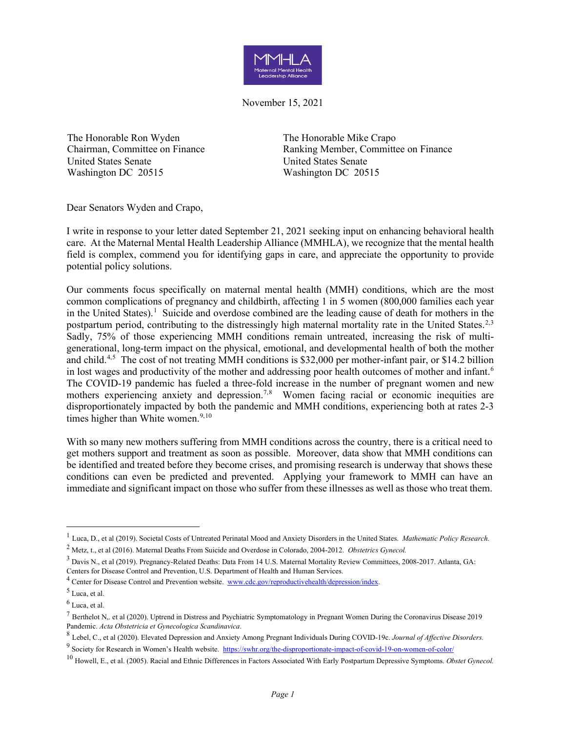

November 15, 2021

The Honorable Ron Wyden Chairman, Committee on Finance United States Senate Washington DC 20515

The Honorable Mike Crapo Ranking Member, Committee on Finance United States Senate Washington DC 20515

Dear Senators Wyden and Crapo,

I write in response to your letter dated September 21, 2021 seeking input on enhancing behavioral health care. At the Maternal Mental Health Leadership Alliance (MMHLA), we recognize that the mental health field is complex, commend you for identifying gaps in care, and appreciate the opportunity to provide potential policy solutions.

Our comments focus specifically on maternal mental health (MMH) conditions, which are the most common complications of pregnancy and childbirth, affecting 1 in 5 women (800,000 families each year in the United States).<sup>[1](#page-0-0)</sup> Suicide and overdose combined are the leading cause of death for mothers in the postpartum period, contributing to the distressingly high maternal mortality rate in the United States.<sup>[2,](#page-0-1)[3](#page-0-2)</sup> Sadly, 75% of those experiencing MMH conditions remain untreated, increasing the risk of multigenerational, long-term impact on the physical, emotional, and developmental health of both the mother and child.<sup>[4](#page-0-3),[5](#page-0-4)</sup> The cost of not treating MMH conditions is \$32,000 per mother-infant pair, or \$14.2 billion in lost wages and productivity of the mother and addressing poor health outcomes of mother and infant.<sup>[6](#page-0-5)</sup> The COVID-19 pandemic has fueled a three-fold increase in the number of pregnant women and new mothers experiencing anxiety and depression.<sup>[7,](#page-0-6)[8](#page-0-7)</sup> Women facing racial or economic inequities are disproportionately impacted by both the pandemic and MMH conditions, experiencing both at rates 2-3 times higher than White women.<sup>9,[10](#page-0-9)</sup>

With so many new mothers suffering from MMH conditions across the country, there is a critical need to get mothers support and treatment as soon as possible. Moreover, data show that MMH conditions can be identified and treated before they become crises, and promising research is underway that shows these conditions can even be predicted and prevented. Applying your framework to MMH can have an immediate and significant impact on those who suffer from these illnesses as well as those who treat them.

<span id="page-0-0"></span><sup>1</sup> Luca, D., et al (2019). Societal Costs of Untreated Perinatal Mood and Anxiety Disorders in the United States. *Mathematic Policy Research.*

<span id="page-0-1"></span><sup>2</sup> Metz, t., et al (2016). Maternal Deaths From Suicide and Overdose in Colorado, 2004-2012. *Obstetrics Gynecol.*

<span id="page-0-2"></span><sup>3</sup> Davis N., et al (2019). Pregnancy-Related Deaths: Data From 14 U.S. Maternal Mortality Review Committees, 2008-2017. Atlanta, GA: Centers for Disease Control and Prevention, U.S. Department of Health and Human Services.

<span id="page-0-3"></span><sup>4</sup> Center for Disease Control and Prevention website. [www.cdc.gov/reproductivehealth/depression/index.](http://www.cdc.gov/reproductivehealth/depression/index)

<span id="page-0-4"></span><sup>5</sup> Luca, et al.

<span id="page-0-5"></span> $<sup>6</sup>$  Luca, et al.</sup>

<span id="page-0-6"></span><sup>7</sup> [Berthelot N,. et al \(2020\). Uptrend in Distress and Psychiatric Symptomatology in Pregnant Women During the Coronavirus Disease 2019](https://doi.org/10.1111/aogs.13925) [Pandemic.](https://doi.org/10.1111/aogs.13925) *[Acta Obstetricia et Gynecologica Scandinavica](https://doi.org/10.1111/aogs.13925)*.

<span id="page-0-8"></span><span id="page-0-7"></span><sup>8</sup> Lebel, C., et al (2020). Elevated Depression and Anxiety Among Pregnant Individuals During COVID-19c. *Journal of Affective Disorders.* <sup>9</sup> Society for Research in Women's Health website.<https://swhr.org/the-disproportionate-impact-of-covid-19-on-women-of-color/>

<span id="page-0-9"></span><sup>10</sup> Howell, E., et al. (2005). Racial and Ethnic Differences in Factors Associated With Early Postpartum Depressive Symptoms. *Obstet Gynecol.*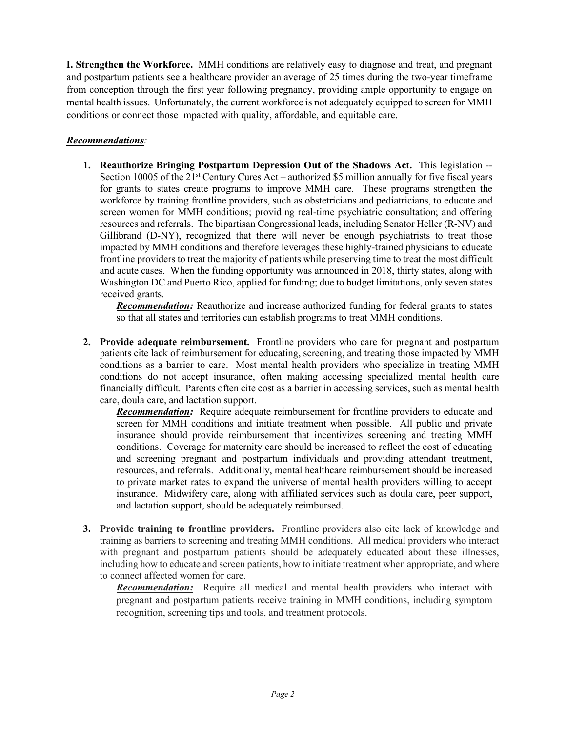**I. Strengthen the Workforce.** MMH conditions are relatively easy to diagnose and treat, and pregnant and postpartum patients see a healthcare provider an average of 25 times during the two-year timeframe from conception through the first year following pregnancy, providing ample opportunity to engage on mental health issues. Unfortunately, the current workforce is not adequately equipped to screen for MMH conditions or connect those impacted with quality, affordable, and equitable care.

## *Recommendations:*

**1. Reauthorize Bringing Postpartum Depression Out of the Shadows Act.** This legislation -- Section 10005 of the  $21<sup>st</sup>$  Century Cures Act – authorized \$5 million annually for five fiscal years for grants to states create programs to improve MMH care. These programs strengthen the workforce by training frontline providers, such as obstetricians and pediatricians, to educate and screen women for MMH conditions; providing real-time psychiatric consultation; and offering resources and referrals. The bipartisan Congressional leads, including Senator Heller (R-NV) and Gillibrand (D-NY), recognized that there will never be enough psychiatrists to treat those impacted by MMH conditions and therefore leverages these highly-trained physicians to educate frontline providers to treat the majority of patients while preserving time to treat the most difficult and acute cases. When the funding opportunity was announced in 2018, thirty states, along with Washington DC and Puerto Rico, applied for funding; due to budget limitations, only seven states received grants.

*Recommendation:* Reauthorize and increase authorized funding for federal grants to states so that all states and territories can establish programs to treat MMH conditions.

**2. Provide adequate reimbursement.** Frontline providers who care for pregnant and postpartum patients cite lack of reimbursement for educating, screening, and treating those impacted by MMH conditions as a barrier to care. Most mental health providers who specialize in treating MMH conditions do not accept insurance, often making accessing specialized mental health care financially difficult. Parents often cite cost as a barrier in accessing services, such as mental health care, doula care, and lactation support.

*Recommendation:* Require adequate reimbursement for frontline providers to educate and screen for MMH conditions and initiate treatment when possible. All public and private insurance should provide reimbursement that incentivizes screening and treating MMH conditions. Coverage for maternity care should be increased to reflect the cost of educating and screening pregnant and postpartum individuals and providing attendant treatment, resources, and referrals. Additionally, mental healthcare reimbursement should be increased to private market rates to expand the universe of mental health providers willing to accept insurance. Midwifery care, along with affiliated services such as doula care, peer support, and lactation support, should be adequately reimbursed.

**3. Provide training to frontline providers.** Frontline providers also cite lack of knowledge and training as barriers to screening and treating MMH conditions. All medical providers who interact with pregnant and postpartum patients should be adequately educated about these illnesses, including how to educate and screen patients, how to initiate treatment when appropriate, and where to connect affected women for care.

*Recommendation:* Require all medical and mental health providers who interact with pregnant and postpartum patients receive training in MMH conditions, including symptom recognition, screening tips and tools, and treatment protocols.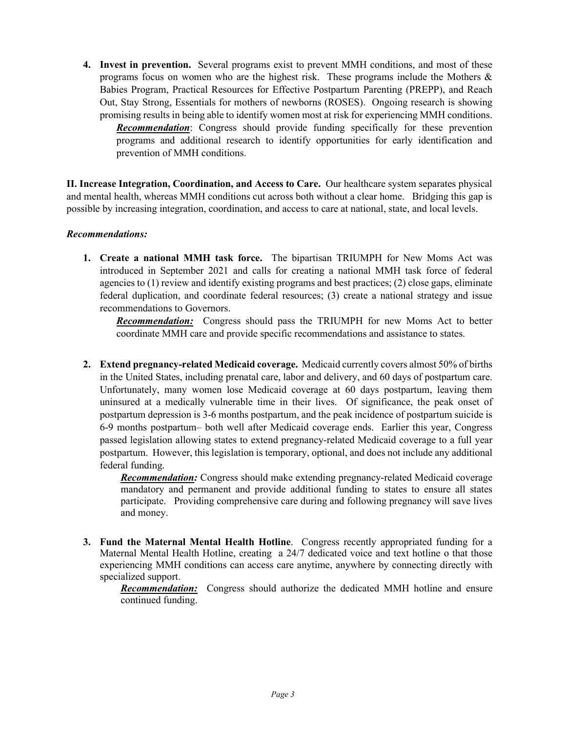**4. Invest in prevention.** Several programs exist to prevent MMH conditions, and most of these programs focus on women who are the highest risk. These programs include the Mothers  $\&$ Babies Program, Practical Resources for Effective Postpartum Parenting (PREPP), and Reach Out, Stay Strong, Essentials for mothers of newborns (ROSES). Ongoing research is showing promising results in being able to identify women most at risk for experiencing MMH conditions. *Recommendation*: Congress should provide funding specifically for these prevention programs and additional research to identify opportunities for early identification and prevention of MMH conditions.

**II. Increase Integration, Coordination, and Access to Care.** Our healthcare system separates physical and mental health, whereas MMH conditions cut across both without a clear home. Bridging this gap is possible by increasing integration, coordination, and access to care at national, state, and local levels.

## *Recommendations:*

**1. Create a national MMH task force.** The bipartisan TRIUMPH for New Moms Act was introduced in September 2021 and calls for creating a national MMH task force of federal agencies to  $(1)$  review and identify existing programs and best practices;  $(2)$  close gaps, eliminate federal duplication, and coordinate federal resources; (3) create a national strategy and issue recommendations to Governors.

*Recommendation:* Congress should pass the TRIUMPH for new Moms Act to better coordinate MMH care and provide specific recommendations and assistance to states.

**2. Extend pregnancy-related Medicaid coverage.** Medicaid currently covers almost 50% of births in the United States, including prenatal care, labor and delivery, and 60 days of postpartum care. Unfortunately, many women lose Medicaid coverage at 60 days postpartum, leaving them uninsured at a medically vulnerable time in their lives. Of significance, the peak onset of postpartum depression is 3-6 months postpartum, and the peak incidence of postpartum suicide is 6-9 months postpartum– both well after Medicaid coverage ends. Earlier this year, Congress passed legislation allowing states to extend pregnancy-related Medicaid coverage to a full year postpartum. However, this legislation is temporary, optional, and does not include any additional federal funding.

*Recommendation:* Congress should make extending pregnancy-related Medicaid coverage mandatory and permanent and provide additional funding to states to ensure all states participate. Providing comprehensive care during and following pregnancy will save lives and money.

**3. Fund the Maternal Mental Health Hotline**. Congress recently appropriated funding for a Maternal Mental Health Hotline, creating a 24/7 dedicated voice and text hotline o that those experiencing MMH conditions can access care anytime, anywhere by connecting directly with specialized support.

*Recommendation:* Congress should authorize the dedicated MMH hotline and ensure continued funding.